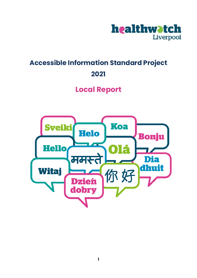

# **Accessible Information Standard Project 2021**

# **Local Report**

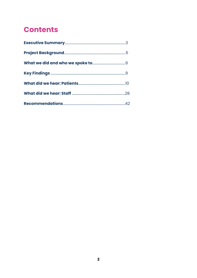# **Contents**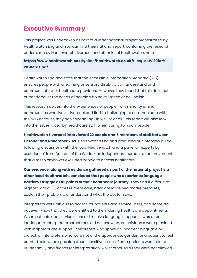### <span id="page-2-0"></span>**Executive Summary**

This project was undertaken as part of a wider national project orchestrated by Healthwatch England. You can find their national report, containing the research undertaken by Healthwatch Liverpool and other local Healthwatch, here:

#### **[https://www.healthwatch.co.uk/sites/healthwatch.co.uk/files/Lost%20for%](https://www.healthwatch.co.uk/sites/healthwatch.co.uk/files/Lost%20for%20Words.pdf) 20Words.pdf**

Healthwatch England state that the Accessible Information Standard (AIS) ensures people with a learning or sensory disability can understand and communicate with healthcare providers. However, they found that this does not currently cover the needs of people who have limited or no English.

This research delves into the experiences of people from minority ethnic communities who live in Liverpool and find it challenging to communicate with the NHS because they don't speak English well or at all. This report will also look into the issues faced by healthcare staff when caring for such people.

**Healthwatch Liverpool interviewed 22 people and 5 members of staff between October and November 2021**. Healthwatch England produced our interview guide following discussions with the local Healthwatch and a panel of "experts by experience" from Doctors of the World - an independent humanitarian movement that aims to empower excluded people to access healthcare.

**Our evidence, along with evidence gathered as part of the national project via other local Healthwatch, concluded that people who experience language barriers struggle at all points of their healthcare journey.** They find it difficult to register with a GP, access urgent care, navigate large healthcare premises, explain their problems, or understand what the doctor says.

Interpreters were difficult to access for patients and service users, and some did not even know that they were entitled to them during healthcare appointments. When patients and service users did receive language support, it was often inadequate. Interpreters sometimes did not show up, or individuals were provided with inappropriate support; interpreters who spoke an incorrect language or dialect, or interpreters who were not of the appropriate gender for a patient to feel comfortable when speaking about sensitive issues. Some patients were told to utilise family and friends for interpretation, whilst other said they were not allowed.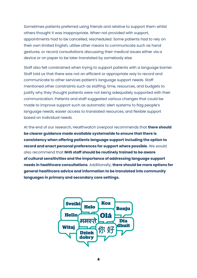Sometimes patients preferred using friends and relative to support them whilst others thought it was inappropriate. When not provided with support, appointments had to be cancelled, rescheduled. Some patients had to rely on their own limited English, utilise other means to communicate such as hand gestures, or record consultations discussing their medical issues either via a device or on paper to be later translated by somebody else.

Staff also felt constrained when trying to support patients with a language barrier. Staff told us that there was not an efficient or appropriate way to record and communicate to other services patient's language support needs. Staff mentioned other constraints such as staffing, time, resources, and budgets to justify why they thought patients were not being adequately supported with their communication. Patients and staff suggested various changes that could be made to improve support such as automatic alert systems to flag people's language needs, easier access to translated resources, and flexible support based on individual needs.

At the end of our research, Healthwatch Liverpool recommends that **there should be clearer guidance made available systemwide to ensure that there is consistency when offering patients language support including the option to record and enact personal preferences for support where possible**. We would also recommend that **NHS staff should be routinely trained to be aware of cultural sensitivities and the importance of addressing language support needs in healthcare consultations**. Additionally, **there should be more options for general healthcare advice and information to be translated into community languages in primary and secondary care settings.** 

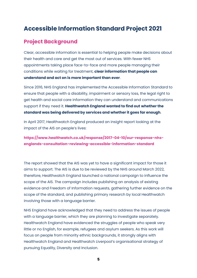## <span id="page-4-0"></span>**Accessible Information Standard Project 2021**

### **Project Background**

Clear, accessible information is essential to helping people make decisions about their health and care and get the most out of services. With fewer NHS appointments taking place face-to-face and more people managing their conditions while waiting for treatment, **clear information that people can understand and act on is more important than ever**.

Since 2016, NHS England has implemented the Accessible Information Standard to ensure that people with a disability, impairment or sensory loss, the legal right to get health and social care information they can understand and communications support if they need it. **Healthwatch England wanted to find out whether the standard was being delivered by services and whether it goes far enough**.

In April 2017, Healthwatch England produced an insight report looking at the impact of the AIS on people's lives:

**[https://www.healthwatch.co.uk/response/2017-04-10/our-response-nhs](https://www.healthwatch.co.uk/response/2017-04-10/our-response-nhs-englands-consultation-reviewing-accessible-information-standard)[englands-consultation-reviewing-accessible-information-standard](https://www.healthwatch.co.uk/response/2017-04-10/our-response-nhs-englands-consultation-reviewing-accessible-information-standard)** 

The report showed that the AIS was yet to have a significant impact for those it aims to support. The AIS is due to be reviewed by the NHS around March 2022, therefore, Healthwatch England launched a national campaign to influence the scope of the AIS. The campaign includes publishing an analysis of existing evidence and Freedom of Information requests, gathering further evidence on the scope of the standard, and publishing primary research by local Healthwatch involving those with a language barrier.

NHS England have acknowledged that they need to address the issues of people with a language barrier, which they are planning to investigate separately. Healthwatch England have evidenced the struggles of people who speak very little or no English, for example, refugees and asylum seekers. As this work will focus on people from minority ethnic backgrounds, it strongly aligns with Healthwatch England and Healthwatch Liverpool's organisational strategy of pursuing Equality, Diversity and Inclusion.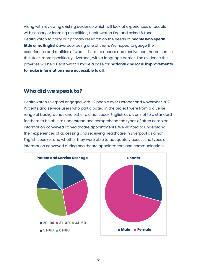<span id="page-5-0"></span>Along with reviewing existing evidence which will look at experiences of people with sensory or learning disabilities, Healthwatch England asked 6 Local Healthwatch to carry out primary research on the needs of **people who speak little or no English:** Liverpool being one of them. We hoped to gauge the experiences and realities of what it is like to access and receive healthcare here in the UK or, more specifically, Liverpool, with a language barrier. The evidence this provides will help Healthwatch make a case for **national and local improvements to make information more accessible to all**.

#### **Who did we speak to?**

Healthwatch Liverpool engaged with 22 people over October and November 2021. Patients and service users who participated in the project were from a diverse range of backgrounds and either did not speak English at all, or, not to a standard for them to be able to understand and comprehend the types of often complex information conveyed at healthcare appointments. We wanted to understand their experiences of accessing and receiving healthcare in Liverpool as a non-English speaker and whether they were able to adequately access the types of information conveyed during healthcare appointments and communications.

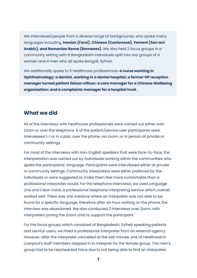We interviewed people from a diverse range of backgrounds, who spoke many languages including, **Iranian (Farsi), Chinese (Cantonese), Yemeni (San'ani Arabic), and Romanian Roma (Romanes).** We also held 2 focus groups in a community setting with 8 Bangladeshi individuals split into two groups of 4 women and 4 men who all spoke Bengali, Sylheti.

We additionally spoke to 5 healthcare professionals: **a nurse working in Ophthalmology; a dentist, working in a dental hospital; a former GP reception manager turned patient liaison officer; a care manager for a Chinese Wellbeing organisation; and a complaints manager for a hospital trust**.

#### **What we did**

All of the interviews with healthcare professionals were carried out either over Zoom or over the telephone. 9 of the patient/service user participants were interviewed 1-1 or in a pair, over the phone, via zoom, or in person at private or community settings.

For most of the interviews with non-English speakers that were face-to-face, the interpretation was carried out by individuals working within the communities who spoke the participants' language. Participants were interviewed either at private or community settings. Community interpreters were either preferred by the individuals or were suggested to make them feel more comfortable than a professional interpreter would. For the telephone interviews, we used Language Line and Clear Voice, a professional telephone interpreting service which, overall, worked well. There was one instance where an interpreter was not able to be found for a specific language, therefore after an hour waiting on the phone, the interview was abandoned. We also conducted 2 interviews over Zoom, with interpreters joining the Zoom chat to support the participant.

For the focus groups which consisted of Bangladeshi, Sylheti speaking patients and service users, we hired a professional interpreter from an external agency. However, after the interpreter cancelled at the last minute, one of Healthwatch Liverpool's staff members stepped in to interpret for the female group. The men's group had to be rescheduled twice due to not being able to find an interpreter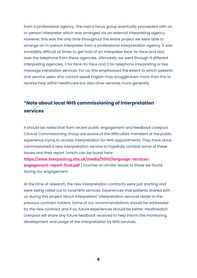from a professional agency. The men's focus group eventually proceeded with an in-person interpreter which was arranged via an external interpreting agency. However, this was the only time throughout the entire project we were able to arrange an in-person interpreter from a professional interpretation agency. It was incredibly difficult at times to get hold of an interpreter face-to-face and also over the telephone from these agencies. Ultimately, we went through 6 different interpreting agencies, 3 for face-to-face and 3 for telephone interpreting or live message translation services. For us, this emphasised the extent to which patients and service users who cannot speak English may struggle even more than this to receive help within healthcare but also other services more generally.

#### **\*Note about local NHS commissioning of interpretation services**

It should be noted that from recent public engagement and feedback Liverpool Clinical Commissioning Group are aware of the difficulties members of the public experience trying to access interpretation for NHS appointments. They have since commissioned a new interpretation service to hopefully combat some of these issues and their report (which can be found here: **[https://www.liverpoolccg.nhs.uk/media/5000/language-services-](https://www.liverpoolccg.nhs.uk/media/5000/language-services-engagement-report-final.pdf)**

**[engagement-report-final.pdf](https://www.liverpoolccg.nhs.uk/media/5000/language-services-engagement-report-final.pdf)** ) touches on similar issues to those we found during our engagement.

At the time of research, the new interpretation contracts were just starting and were being rolled out to local NHS services. Experiences that patients shared with us during this project about interpreters/ interpretation services relate to the previous contract holders. Some of our recommendations should be addressed by the new contract and if so, future experiences should be better. Healthwatch Liverpool will share any future feedback received to help inform the monitoring, development and usage of the interpretation by NHS services.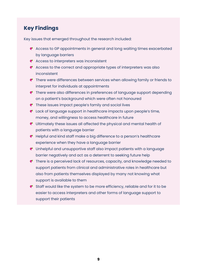### <span id="page-8-0"></span>**Key Findings**

Key issues that emerged throughout the research included:

- Access to GP appointments in general and long waiting times exacerbated by language barriers
- Access to interpreters was inconsistent
- $\bullet$  Access to the correct and appropriate types of interpreters was also inconsistent
- **P** There were differences between services when allowing family or friends to interpret for individuals at appointments
- There were also differences in preferences of language support depending on a patient's background which were often not honoured
- These issues impact people's family and social lives
- Lack of language support in healthcare impacts upon people's time, money, and willingness to access healthcare in future
- Ultimately these issues all affected the physical and mental health of patients with a language barrier
- Helpful and kind staff make a big difference to a person's healthcare experience when they have a language barrier
- Unhelpful and unsupportive staff also impact patients with a language barrier negatively and act as a deterrent to seeking future help
- **P** There is a perceived lack of resources, capacity, and knowledge needed to support patients from clinical and administrative roles in healthcare but also from patients themselves displayed by many not knowing what support is available to them
- Staff would like the system to be more efficiency, reliable and for it to be easier to access interpreters and other forms of language support to support their patients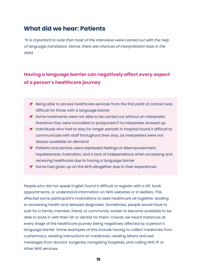## <span id="page-9-0"></span>**What did we hear: Patients**

\*It is important to note that most of the interviews were carried out with the help of language translators. Hence, there are chances of interpretation bias in the data.

### **Having a language barrier can negatively affect every aspect of a person's healthcare journey**

- Being able to access healthcare services from the first point of contact was difficult for those with a language barrier
- $\bullet$  Some treatments were not able to be carried out without an interpreter, therefore they were cancelled or postponed if no interpreter showed up
- $\bullet$  Individuals who had to stay for longer periods in hospital found it difficult to communicate with staff throughout their stay, as interpreters were not always available on demand
- **P** Patients and service users expressed feelings of disempowerment, hopelessness, frustration, and a lack of independence when accessing and receiving healthcare due to having a language barrier
- Some had given up on the NHS altogether due to their experiences

People who did not speak English found it difficult to register with a GP, book appointments, or understand information on NHS websites or in leaflets. This effected some participant's motivations to seek healthcare all together, leading to worsening health and delayed diagnoses. Sometimes, people would have to wait for a family member, friend, or community worker to become available to be able to book in with their GP or dentist for them. Overall, we heard instances at every stage of the healthcare journey being negatively affected by a person's language barrier. Some examples of this include having to collect medicines from a pharmacy, reading instructions on medicines, reading letters and text messages from doctors' surgeries, navigating hospitals, and calling NHS 111 or other NHS services.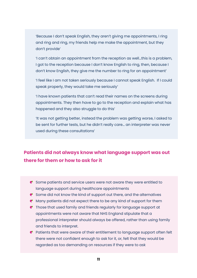'Because I don't speak English, they aren't giving me appointments, I ring and ring and ring, my friends help me make the appointment, but they don't provide'

'I can't obtain an appointment from the reception as well…this is a problem, I got to the reception because I don't know English to ring, then, because I don't know English, they give me the number to ring for an appointment'

'I feel like I am not taken seriously because I cannot speak English. If I could speak properly, they would take me seriously'

'I have known patients that can't read their names on the screens during appointments. They then have to go to the reception and explain what has happened and they also struggle to do this'

'It was not getting better, instead the problem was getting worse, I asked to be sent for further tests, but he didn't really care… an interpreter was never used during these consultations'

### **Patients did not always know what language support was out there for them or how to ask for it**

- $\bullet$  Some patients and service users were not aware they were entitled to language support during healthcare appointments
- $\bullet$  Some did not know the kind of support out there, and the alternatives
- $\bullet$  Many patients did not expect there to be any kind of support for them
- Those that used family and friends regularly for language support at appointments were not aware that NHS England stipulate that a professional interpreter should always be offered, rather than using family and friends to interpret.
- P Patients that were aware of their entitlement to language support often felt there were not confident enough to ask for it, or, felt that they would be regarded as too demanding on resources if they were to ask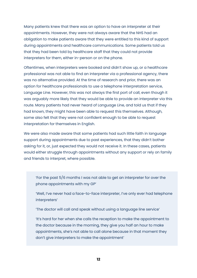Many patients knew that there was an option to have an interpreter at their appointments. However, they were not always aware that the NHS had an obligation to make patients aware that they were entitled to this kind of support during appointments and healthcare communications. Some patients told us that they had been told by healthcare staff that they could not provide interpreters for them, either in-person or on the phone.

Oftentimes, when interpreters were booked and didn't show up, or a healthcare professional was not able to find an interpreter via a professional agency, there was no alternative provided. At the time of research and prior, there was an option for healthcare professionals to use a telephone interpretation service, Language Line. However, this was not always the first port of call, even though it was arguably more likely that they would be able to provide an interpreter via this route. Many patients had never heard of Language Line, and told us that if they had known, they might have been able to request this themselves. Although, some also felt that they were not confident enough to be able to request interpretation for themselves in English.

We were also made aware that some patients had such little faith in language support during appointments due to past experiences, that they didn't bother asking for it, or, just expected they would not receive it. In these cases, patients would either struggle through appointments without any support or rely on family and friends to interpret, where possible.

'For the past 5/6 months I was not able to get an interpreter for over the phone appointments with my GP'

'Well, I've never had a face-to-face interpreter, I've only ever had telephone interpreters'

'The doctor will call and speak without using a language line service'

'It's hard for her when she calls the reception to make the appointment to the doctor because in the morning, they give you half an hour to make appointments, she's not able to call alone because in that moment they don't give interpreters to make the appointment'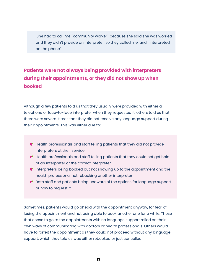'She had to call me [community worker] because she said she was worried and they didn't provide an interpreter, so they called me, and I interpreted on the phone'

## **Patients were not always being provided with interpreters during their appointments, or they did not show up when booked**

Although a few patients told us that they usually were provided with either a telephone or face-to-face interpreter when they requested it, others told us that there were several times that they did not receive any language support during their appointments. This was either due to:

- $\bullet$  Health professionals and staff telling patients that they did not provide interpreters at their service
- **P** Health professionals and staff telling patients that they could not get hold of an interpreter or the correct interpreter
- $\bullet$  Interpreters being booked but not showing up to the appointment and the health professional not rebooking another interpreter
- Both staff and patients being unaware of the options for language support or how to request it

Sometimes, patients would go ahead with the appointment anyway, for fear of losing the appointment and not being able to book another one for a while. Those that chose to go to the appointments with no language support relied on their own ways of communicating with doctors or health professionals. Others would have to forfeit the appointment as they could not proceed without any language support, which they told us was either rebooked or just cancelled.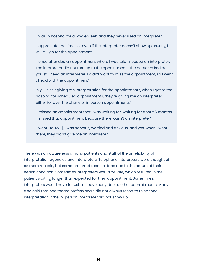'I was in hospital for a whole week, and they never used an interpreter'

'I appreciate the timeslot even if the interpreter doesn't show up usually, I will still go for the appointment'

'I once attended an appointment where I was told I needed an interpreter. The interpreter did not turn up to the appointment. The doctor asked do you still need an interpreter. I didn't want to miss the appointment, so I went ahead with the appointment'

'My GP isn't giving me interpretation for the appointments, when I got to the hospital for scheduled appointments, they're giving me an interpreter, either for over the phone or in person appointments'

'I missed an appointment that I was waiting for, waiting for about 6 months, I missed that appointment because there wasn't an interpreter'

'I went [to A&E], I was nervous, worried and anxious, and yes, when I went there, they didn't give me an interpreter'

There was an awareness among patients and staff of the unreliability of interpretation agencies and interpreters. Telephone interpreters were thought of as more reliable, but some preferred face-to-face due to the nature of their health condition. Sometimes interpreters would be late, which resulted in the patient waiting longer than expected for their appointment. Sometimes, interpreters would have to rush, or leave early due to other commitments. Many also said that healthcare professionals did not always resort to telephone interpretation if the in-person interpreter did not show up.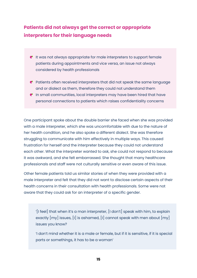### **Patients did not always get the correct or appropriate interpreters for their language needs**

- $\bullet$  It was not always appropriate for male interpreters to support female patients during appointments and vice versa, an issue not always considered by health professionals
- $\bullet$  Patients often received interpreters that did not speak the same language and or dialect as them, therefore they could not understand them
- $\bullet$  In small communities, local interpreters may have been hired that have personal connections to patients which raises confidentiality concerns

One participant spoke about the double barrier she faced when she was provided with a male interpreter, which she was uncomfortable with due to the nature of her health condition, and he also spoke a different dialect. She was therefore struggling to communicate with him effectively in multiple ways. This caused frustration for herself and the interpreter because they could not understand each other. What the interpreter wanted to ask, she could not respond to because it was awkward, and she felt embarrassed. She thought that many healthcare professionals and staff were not culturally sensitive or even aware of this issue.

Other female patients told us similar stories of when they were provided with a male interpreter and felt that they did not want to disclose certain aspects of their health concerns in their consultation with health professionals. Some were not aware that they could ask for an interpreter of a specific gender.

'[I feel] that when it's a man interpreter, [I don't] speak with him, to explain exactly  $[my]$  issues,  $[1]$  is ashamed,  $[1]$  cannot speak with men about  $[my]$ issues you know?

'I don't mind whether it is a male or female, but if it is sensitive, if it is special parts or somethings, it has to be a woman'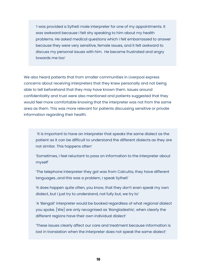'I was provided a Sylheti male interpreter for one of my appointments. It was awkward because I felt shy speaking to him about my health problems. He asked medical questions which I felt embarrassed to answer because they were very sensitive, female issues, and it felt awkward to discuss my personal issues with him. He became frustrated and angry towards me too'

We also heard patients that from smaller communities in Liverpool express concerns about receiving interpreters that they knew personally and not being able to tell beforehand that they may have known them. Issues around confidentiality and trust were also mentioned and patients suggested that they would feel more comfortable knowing that the interpreter was not from the same area as them. This was more relevant for patients discussing sensitive or private information regarding their health.

'It is important to have an interpreter that speaks the same dialect as the patient as it can be difficult to understand the different dialects as they are not similar. This happens often'

'Sometimes, I feel reluctant to pass on information to the interpreter about myself'

'The telephone interpreter they got was from Calcutta, they have different languages…and this was a problem, I speak Sylheti'

'It does happen quite often, you know, that they don't even speak my own dialect, but I just try to understand, not fully but, we try to'

'A 'Bengali' interpreter would be booked regardless of what regional dialect you spoke. [We] are only recognised as 'Bangladeshis', when clearly the different regions have their own individual dialect'

'These issues clearly affect our care and treatment because information is lost in translation when the interpreter does not speak the same dialect'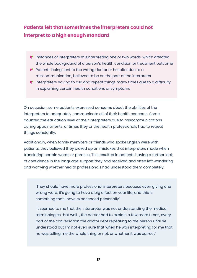### **Patients felt that sometimes the interpreters could not interpret to a high enough standard**

- $\bullet$  Instances of interpreters misinterpreting one or two words, which affected the whole background of a person's health condition or treatment outcome
- $\bullet$  Patients being sent to the wrong doctor or hospital due to a miscommunication, believed to be on the part of the interpreter
- **P** Interpreters having to ask and repeat things many times due to a difficulty in explaining certain health conditions or symptoms

On occasion, some patients expressed concerns about the abilities of the interpreters to adequately communicate all of their health concerns. Some doubted the education level of their interpreters due to miscommunications during appointments, or times they or the health professionals had to repeat things constantly.

Additionally, when family members or friends who spoke English were with patients, they believed they picked up on mistakes that interpreters made when translating certain words or phrases. This resulted in patients having a further lack of confidence in the language support they had received and often left wondering and worrying whether health professionals had understood them completely.

'They should have more professional interpreters because even giving one wrong word, it's going to have a big effect on your life, and this is something that I have experienced personally'

'It seemed to me that the interpreter was not understanding the medical terminologies that well…, the doctor had to explain a few more times, every part of the conversation the doctor kept repeating to the person until he understood but I'm not even sure that when he was interpreting for me that he was telling me the whole thing or not, or whether it was correct'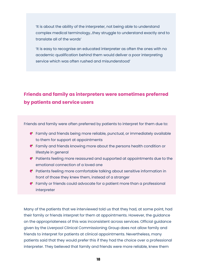'It is about the ability of the interpreter, not being able to understand complex medical terminology…they struggle to understand exactly and to translate all of the words'

'It is easy to recognise an educated interpreter as often the ones with no academic qualification behind them would deliver a poor interpreting service which was often rushed and misunderstood'

#### **Friends and family as interpreters were sometimes preferred by patients and service users**

Friends and family were often preferred by patients to interpret for them due to:

- Family and friends being more reliable, punctual, or immediately available to them for support at appointments
- **P** Family and friends knowing more about the persons health condition or lifestyle in general
- $\bullet$  Patients feeling more reassured and supported at appointments due to the emotional connection of a loved one
- **P** Patients feeling more comfortable talking about sensitive information in front of those they knew them, instead of a stranger
- **P** Family or friends could advocate for a patient more than a professional interpreter

Many of the patients that we interviewed told us that they had, at some point, had their family or friends interpret for them at appointments. However, the guidance on the appropriateness of this was inconsistent across services. Official guidance given by the Liverpool Clinical Commissioning Group does not allow family and friends to interpret for patients at clinical appointments. Nevertheless, many patients said that they would prefer this if they had the choice over a professional interpreter. They believed that family and friends were more reliable, knew them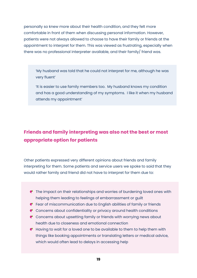personally so knew more about their health condition, and they felt more comfortable in front of them when discussing personal information. However, patients were not always allowed to choose to have their family or friends at the appointment to interpret for them. This was viewed as frustrating, especially when there was no professional interpreter available, and their family/ friend was.

'My husband was told that he could not interpret for me, although he was very fluent'

'It is easier to use family members too. My husband knows my condition and has a good understanding of my symptoms. I like it when my husband attends my appointment'

### **Friends and family interpreting was also not the best or most appropriate option for patients**

Other patients expressed very different opinions about friends and family interpreting for them. Some patients and service users we spoke to said that they would rather family and friend did not have to interpret for them due to:

- $\bullet$  The impact on their relationships and worries of burdening loved ones with helping them leading to feelings of embarrassment or guilt
- Fear of miscommunication due to English abilities of family or friends
- **C** Concerns about confidentiality or privacy around health conditions
- Concerns about upsetting family or friends with worrying news about health due to closeness and emotional connection
- $\bullet$  Having to wait for a loved one to be available to them to help them with things like booking appointments or translating letters or medical advice, which would often lead to delays in accessing help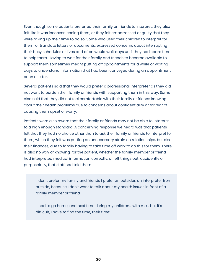Even though some patients preferred their family or friends to interpret, they also felt like it was inconveniencing them, or they felt embarrassed or guilty that they were taking up their time to do so. Some who used their children to interpret for them, or translate letters or documents, expressed concerns about interrupting their busy schedules or lives and often would wait days until they had spare time to help them. Having to wait for their family and friends to become available to support them sometimes meant putting off appointments for a while or waiting days to understand information that had been conveyed during an appointment or on a letter.

Several patients said that they would prefer a professional interpreter as they did not want to burden their family or friends with supporting them in this way. Some also said that they did not feel comfortable with their family or friends knowing about their health problems due to concerns about confidentiality or for fear of causing them upset or worry.

Patients were also aware that their family or friends may not be able to interpret to a high enough standard. A concerning response we heard was that patients felt that they had no choice other than to ask their family or friends to interpret for them, which they felt was putting an unnecessary strain on relationships, but also their finances, due to family having to take time off work to do this for them. There is also no way of knowing, for the patient, whether the family member or friend had interpreted medical information correctly, or left things out, accidently or purposefully, that staff had told them

'I don't prefer my family and friends I prefer an outsider, an interpreter from outside, because I don't want to talk about my health issues in front of a family member or friend'

'I had to go home, and next time I bring my children… with me… but it's difficult, I have to find the time, their time'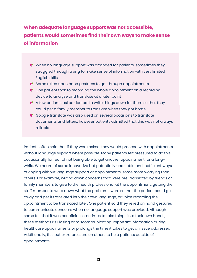## **When adequate language support was not accessible, patients would sometimes find their own ways to make sense of information**

- When no language support was arranged for patients, sometimes they struggled through trying to make sense of information with very limited English skills
- Some relied upon hand gestures to get through appointments
- $\bullet$  One patient took to recording the whole appointment on a recording device to analyse and translate at a later point
- $\bullet$  A few patients asked doctors to write things down for them so that they could get a family member to translate when they got home
- C Google translate was also used on several occasions to translate documents and letters, however patients admitted that this was not always reliable

Patients often said that if they were asked, they would proceed with appointments without language support where possible. Many patients felt pressured to do this occasionally for fear of not being able to get another appointment for a longwhile. We heard of some innovative but potentially unreliable and inefficient ways of coping without language support at appointments, some more worrying than others. For example, writing down concerns that were pre-translated by friends or family members to give to the health professional at the appointment, getting the staff member to write down what the problems were so that the patient could go away and get it translated into their own language, or voice recording the appointment to be translated later. One patient said they relied on hand gestures to communicate concerns when no language support was provided. Although some felt that it was beneficial sometimes to take things into their own hands, these methods risk losing or miscommunicating important information during healthcare appointments or prolongs the time it takes to get an issue addressed. Additionally, this put extra pressure on others to help patients outside of appointments.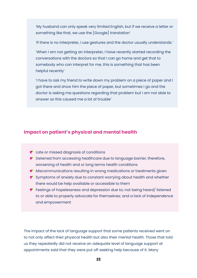'My husband can only speak very limited English, but if we receive a letter or something like that, we use the [Google] translation'

'If there is no interpreter, I use gestures and the doctor usually understands.'

'When I am not getting an interpreter, I have recently started recording the conversations with the doctors so that I can go home and get that to somebody who can interpret for me, this is something that has been helpful recently'

'I have to ask my friend to write down my problem on a piece of paper and I got there and show him the piece of paper, but sometimes I go and the doctor is asking me questions regarding that problem but I am not able to answer so this caused me a lot of trouble'

#### **Impact on patient's physical and mental health**

- Late or missed diagnosis of conditions
- Deterred from accessing healthcare due to language barrier, therefore, worsening of health and or long terms health conditions
- Miscommunications resulting in wrong medications or treatments given
- $\bullet$  Symptoms of anxiety due to constant worrying about health and whether there would be help available or accessible to them
- Feelings of hopelessness and depression due to; not being heard/ listened to or able to properly advocate for themselves; and a lack of independence and empowerment

The impact of the lack of language support that some patients received went on to not only affect their physical health but also their mental health. Those that told us they repeatedly did not receive an adequate level of language support at appointments said that they were put off seeking help because of it. Many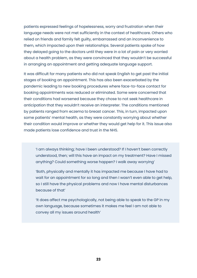patients expressed feelings of hopelessness, worry and frustration when their language needs were not met sufficiently in the context of healthcare. Others who relied on friends and family felt guilty, embarrassed and an inconvenience to them, which impacted upon their relationships. Several patients spoke of how they delayed going to the doctors until they were in a lot of pain or very worried about a health problem, as they were convinced that they wouldn't be successful in arranging an appointment and getting adequate language support.

It was difficult for many patients who did not speak English to get past the initial stages of booking an appointment. This has also been exacerbated by the pandemic leading to new booking procedures where face-to-face contact for booking appointments was reduced or eliminated. Some were concerned that their conditions had worsened because they chose to not seek healthcare in anticipation that they wouldn't receive an interpreter. The conditions mentioned by patients ranged from eczema to breast cancer. This, in turn, impacted upon some patients' mental health, as they were constantly worrying about whether their condition would improve or whether they would get help for it. This issue also made patients lose confidence and trust in the NHS.

'I am always thinking; have I been understood? If I haven't been correctly understood, then; will this have an impact on my treatment? Have I missed anything? Could something worse happen? I walk away worrying'

'Both, physically and mentally it has impacted me because I have had to wait for an appointment for so long and then I wasn't even able to get help, so I still have the physical problems and now I have mental disturbances because of that'

'It does affect me psychologically, not being able to speak to the GP in my own language, because sometimes it makes me feel I am not able to convey all my issues around health'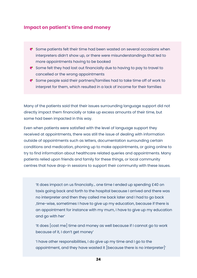#### **Impact on patient's time and money**

- $\bullet$  Some patients felt their time had been wasted on several occasions when interpreters didn't show up, or there were misunderstandings that led to more appointments having to be booked
- $\bullet$  Some felt they had lost out financially due to having to pay to travel to cancelled or the wrong appointments
- $\bullet$  Some people said their partners/families had to take time off of work to interpret for them, which resulted in a lack of income for their families

Many of the patients said that their issues surrounding language support did not directly impact them financially or take up excess amounts of their time, but some had been impacted in this way.

Even when patients were satisfied with the level of language support they received at appointments, there was still the issue of dealing with information outside of appointments such as letters, documentation surrounding certain conditions and medication, phoning up to make appointments, or going online to try to find information about healthcare related queries and appointments. Many patients relied upon friends and family for these things, or local community centres that have drop-in sessions to support their community with these issues.

'It does impact on us financially… one time I ended up spending £40 on taxis going back and forth to the hospital because I arrived and there was no interpreter and then they called me back later and I had to go back ,time-wise, sometimes I have to give up my education, because if there is an appointment for instance with my mum, I have to give up my education and go with her'

'It does [cost me] time and money as well because if I cannot go to work because of it, I don't get money'

'I have other responsibilities, I do give up my time and I go to the appointment, and they have wasted it [because there is no interpreter]'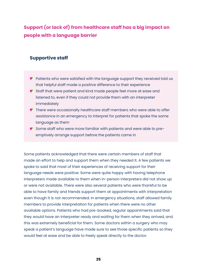**Support (or lack of) from healthcare staff has a big impact on people with a language barrier**

#### **Supportive staff**

- P Patients who were satisfied with the language support they received told us that helpful staff made a positive difference to their experience
- Staff that were patient and kind made people feel more at ease and listened to, even if they could not provide them with an interpreter immediately
- There were occasionally healthcare staff members who were able to offer assistance in an emergency to interpret for patients that spoke the same language as them
- C Some staff who were more familiar with patients and were able to preemptively arrange support before the patients came in

Some patients acknowledged that there were certain members of staff that made an effort to help and support them when they needed it. A few patients we spoke to said that most of their experiences of receiving support for their language needs were positive. Some were quite happy with having telephone interpreters made available to them when in-person interpreters did not show up or were not available. There were also several patients who were thankful to be able to have family and friends support them at appointments with interpretation even though it is not recommended. In emergency situations, staff allowed family members to provide interpretation for patients when there were no other available options. Patients who had pre-booked, regular appointments said that they would have an interpreter ready and waiting for them when they arrived, and this was extremely beneficial for them. Some doctors within a surgery who may speak a patient's language have made sure to see those specific patients so they would feel at ease and be able to freely speak directly to the doctor.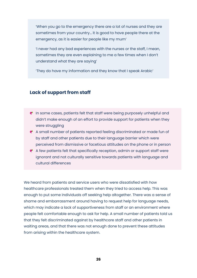'When you go to the emergency there are a lot of nurses and they are sometimes from your country… it is good to have people there at the emergency, as it is easier for people like my mum'

'I never had any bad experiences with the nurses or the staff, I mean, sometimes they are even explaining to me a few times when I don't understand what they are saying'

'They do have my information and they know that I speak Arabic'

#### **Lack of support from staff**

- **P** In some cases, patients felt that staff were being purposely unhelpful and didn't make enough of an effort to provide support for patients when they were struggling
- A small number of patients reported feeling discriminated or made fun of by staff and other patients due to their language barrier which were perceived from dismissive or facetious attitudes on the phone or in person
- A few patients felt that specifically reception, admin or support staff were ignorant and not culturally sensitive towards patients with language and cultural differences

We heard from patients and service users who were dissatisfied with how healthcare professionals treated them when they tried to access help. This was enough to put some individuals off seeking help altogether. There was a sense of shame and embarrassment around having to request help for language needs, which may indicate a lack of supportiveness from staff or an environment where people felt comfortable enough to ask for help. A small number of patients told us that they felt discriminated against by healthcare staff and other patients in waiting areas, and that there was not enough done to prevent these attitudes from arising within the healthcare system.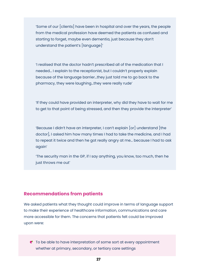'Some of our [clients] have been in hospital and over the years, the people from the medical profession have deemed the patients as confused and starting to forget, maybe even dementia, just because they don't understand the patient's [language]'

'I realised that the doctor hadn't prescribed all of the medication that I needed… I explain to the receptionist, but I couldn't properly explain because of the language barrier…they just told me to go back to the pharmacy, they were laughing…they were really rude'

'If they could have provided an interpreter, why did they have to wait for me to get to that point of being stressed, and then they provide the interpreter'

'Because I didn't have an interpreter, I can't explain [or] understand [the doctor], I asked him how many times I had to take the medicine, and I had to repeat it twice and then he got really angry at me… because I had to ask again'

'The security man in the GP, if I say anything, you know, too much, then he just throws me out'

#### **Recommendations from patients**

We asked patients what they thought could improve in terms of language support to make their experience of healthcare information, communications and care more accessible for them. The concerns that patients felt could be improved upon were:

 $\bullet$  To be able to have interpretation of some sort at every appointment whether at primary, secondary, or tertiary care settings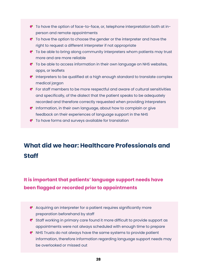- <span id="page-27-0"></span>To have the option of face-to-face, or, telephone interpretation both at inperson and remote appointments
- $\bullet$  To have the option to choose the gender or the interpreter and have the right to request a different interpreter if not appropriate
- To be able to bring along community interpreters whom patients may trust more and are more reliable
- $\bullet$  To be able to access information in their own language on NHS websites, apps, or leaflets
- $\bullet$  Interpreters to be qualified at a high enough standard to translate complex medical jargon
- For staff members to be more respectful and aware of cultural sensitivities and specifically, of the dialect that the patient speaks to be adequately recorded and therefore correctly requested when providing interpreters
- **P** Information, in their own language, about how to complain or give feedback on their experiences of language support in the NHS
- To have forms and surveys available for translation

# **What did we hear: Healthcare Professionals and Staff**

### **It is important that patients' language support needs have been flagged or recorded prior to appointments**

- $\bullet$  Acquiring an interpreter for a patient requires significantly more preparation beforehand by staff
- Staff working in primary care found it more difficult to provide support as appointments were not always scheduled with enough time to prepare
- $\bullet$  NHS Trusts do not always have the same systems to provide patient information, therefore information regarding language support needs may be overlooked or missed out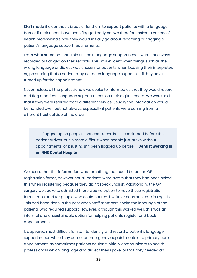Staff made it clear that it is easier for them to support patients with a language barrier if their needs have been flagged early on. We therefore asked a variety of health professionals how they would initially go about recording or flagging a patient's language support requirements.

From what some patients told us; their language support needs were not always recorded or flagged on their records. This was evident when things such as the wrong language or dialect was chosen for patients when booking their interpreter, or, presuming that a patient may not need language support until they have turned up for their appointment.

Nevertheless, all the professionals we spoke to informed us that they would record and flag a patients language support needs on their digital record. We were told that if they were referred from a different service, usually this information would be handed over, but not always, especially if patients were coming from a different trust outside of the area.

'It's flagged up on people's patients' records, it's considered before the patient arrives, but is more difficult when people just arrive without appointments, or it just hasn't been flagged up before' - **Dentist working in an NHS Dental Hospital**

We heard that this information was something that could be put on GP registration forms, however not all patients were aware that they had been asked this when registering because they didn't speak English. Additionally, the GP surgery we spoke to admitted there was no option to have these registration forms translated for people who could not read, write or communicate in English. This had been done in the past when staff members spoke the language of the patients who required support. However, although this worked well, this was an informal and unsustainable option for helping patients register and book appointments.

It appeared most difficult for staff to identify and record a patient's language support needs when they came for emergency appointments or a primary care appointment, as sometimes patients couldn't initially communicate to health professionals which language and dialect they spoke, or that they needed an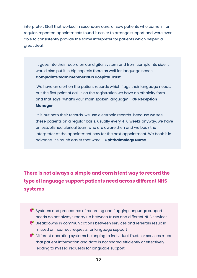interpreter. Staff that worked in secondary care, or saw patients who came in for regular, repeated appointments found it easier to arrange support and were even able to consistently provide the same interpreter for patients which helped a great deal.

'It goes into their record on our digital system and from complaints side it would also put it in big capitals there as well for language needs' - **Complaints team member NHS Hospital Trust**

'We have an alert on the patient records which flags their language needs, but the first point of call is on the registration we have an ethnicity form and that says, 'what's your main spoken language' – **GP Reception Manager** 

'It is put onto their records, we use electronic records…because we see these patients on a regular basis, usually every 4-6 weeks anyway, we have an established clerical team who are aware then and we book the interpreter at the appointment now for the next appointment. We book it in advance, it's much easier that way'. - **Ophthalmology Nurse** 

**There is not always a simple and consistent way to record the type of language support patients need across different NHS systems** 

Systems and procedures of recording and flagging language support needs do not always marry up between trusts and different NHS services  $\bullet$  Breakdowns in communications between services and referrals result in missed or incorrect requests for language support

C Different operating systems belonging to individual Trusts or services mean that patient information and data is not shared efficiently or effectively leading to missed requests for language support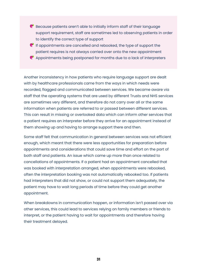- $\bullet$  Because patients aren't able to initially inform staff of their language support requirement, staff are sometimes led to observing patients in order to identify the correct type of support
- $\bullet$  If appointments are cancelled and rebooked, the type of support the patient requires is not always carried over onto the new appointment
- $\bullet$  Appointments being postponed for months due to a lack of interpreters

Another inconsistency in how patients who require language support are dealt with by healthcare professionals came from the ways in which needs were recorded, flagged and communicated between services. We became aware via staff that the operating systems that are used by different Trusts and NHS services are sometimes very different, and therefore do not carry over all or the same information when patients are referred to or passed between different services. This can result in missing or overlooked data which can inform other services that a patient requires an interpreter before they arrive for an appointment instead of them showing up and having to arrange support there and then.

Some staff felt that communication in general between services was not efficient enough, which meant that there were less opportunities for preparation before appointments and considerations that could save time and effort on the part of both staff and patients. An issue which came up more than once related to cancellations of appointments. If a patient had an appointment cancelled that was booked with interpretation arranged, when appointments were rebooked, often the interpretation booking was not automatically rebooked too. If patients had interpreters that did not show, or could not support them adequately, the patient may have to wait long periods of time before they could get another appointment.

When breakdowns in communication happen, or information isn't passed over via other services, this could lead to services relying on family members or friends to interpret, or the patient having to wait for appointments and therefore having their treatment delayed.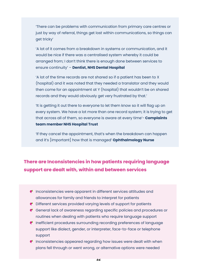'There can be problems with communication from primary care centres or just by way of referral, things get lost within communications, so things can get tricky'

'A lot of it comes from a breakdown in systems or communication, and it would be nice if there was a centralised system whereby it could be arranged from; I don't think there is enough done between services to ensure continuity' – **Dentist, NHS Dental Hospital** 

'A lot of the time records are not shared so if a patient has been to X (hospital) and it was noted that they needed a translator and they would then come for an appointment at Y (hospital) that wouldn't be on shared records and they would obviously get very frustrated by that.'

'It is getting it out there to everyone to let them know so it will flag up on every system. We have a lot more than one record system; it is trying to get that across all of them, so everyone is aware at every time'- **Complaints team member NHS Hospital Trust**

'If they cancel the appointment, that's when the breakdown can happen and it's [important] how that is managed' **Ophthalmology Nurse**

#### **There are Inconsistencies in how patients requiring language support are dealt with, within and between services**

- **P** Inconsistencies were apparent in different services attitudes and allowances for family and friends to interpret for patients
- Different services provided varying levels of support for patients
- General lack of awareness regarding specific policies and procedures or routines when dealing with patients who require language support
- $\bullet$  Inefficient procedures surrounding recording preferences of language support like dialect, gender, or interpreter, face-to-face or telephone support
- $\bullet$  Inconsistencies appeared regarding how issues were dealt with when plans fell through or went wrong, or alternative options were needed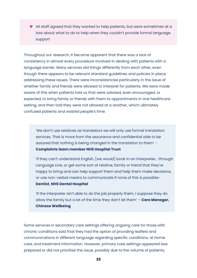All staff agreed that they wanted to help patients, but were sometimes at a loss about what to do to help when they couldn't provide formal language support

Throughout our research, it became apparent that there was a lack of consistency in almost every procedure involved in dealing with patients with a language barrier. Many services did things differently from each other, even though there appears to be relevant standard guidelines and policies in place addressing these issues. There were inconsistencies particularly in the issue of whether family and friends were allowed to interpret for patients. We were made aware of this when patients told us that were advised, even encouraged, or expected, to bring family or friends with them to appointments in one healthcare setting, and then told they were not allowed at a another, which ultimately confused patients and wasted people's time.

'We don't use relatives as translators we will only use formal translation services. That is more from the assurance and confidential side to be assured that nothing is being changed in the translation to them' - **Complaints team member NHS Hospital Trust**

'If they can't understand English, [we would] book in an interpreter… through Language Line, or get some sort of relative, family or friend that they're happy to bring and can help support them and help them make decisions, or use non-verbal means to communicate if none of this is possible-**Dentist, NHS Dental Hospital**

'If the interpreter isn't able to do the job properly them, I suppose they do allow the family but a lot of the time they don't let them' – **Care Manager, Chinese Wellbeing** 

Some services in secondary care settings offering ongoing care for those with chronic conditions said that they had the option of providing leaflets and communications in different language regarding specific conditions, at home care, and treatment information. However, primary care settings appeared less prepared or did not prioritise the issue, possibly due to the volume of patients,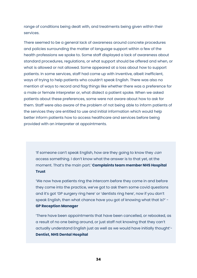range of conditions being dealt with, and treatments being given within their services.

There seemed to be a general lack of awareness around concrete procedures and policies surrounding the matter of language support within a few of the health professions we spoke to. Some staff displayed a lack of awareness about standard procedures, regulations, or what support should be offered and when, or what is allowed or not allowed. Some appeared at a loss about how to support patients. In some services, staff had come up with inventive, albeit inefficient, ways of trying to help patients who couldn't speak English. There was also no mention of ways to record and flag things like whether there was a preference for a male or female interpreter or, what dialect a patient spoke. When we asked patients about these preferences, some were not aware about how to ask for them. Staff were also aware of the problem of not being able to inform patients of the services they are entitled to use and initial information which would help better inform patients how to access healthcare and services before being provided with an interpreter at appointments.

'If someone can't speak English, how are they going to know they can access something. I don't know what the answer is to that yet, at the moment. That's the main part.' **Complaints team member NHS Hospital Trust**

'We now have patients ring the intercom before they come in and before they come into the practice, we've got to ask them some covid questions and it's got 'GP surgery ring here' or 'dentists ring here', now if you don't speak English, then what chance have you got of knowing what that is?' - **GP Reception Manager**

'There have been appointments that have been cancelled, or rebooked, as a result of no one being around, or just staff not knowing that they can't actually understand English just as well as we would have initially thought'- **Dentist, NHS Dental Hospital**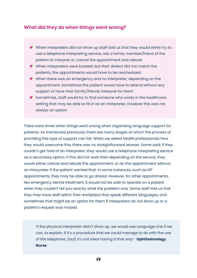#### **What did they do when things went wrong?**

- When interpreters did not show up staff told us that they would either try to use a telephone interpreting service, ask a family member/friend of the patient to interpret or, cancel the appointment and rebook
- When interpreters were booked, but their dialect did not match the patients, the appointments would have to be rescheduled
- When there was an emergency and no interpreter, depending on the appointment, sometimes the patient would have to attend without any support or have their family/friends interpret for them
- $\bullet$  Sometimes, staff would try to find someone who works in the healthcare setting that may be able to fill in as an interpreter, however this was not always an option

There were times when things went wrong when organising language support for patients. As mentioned previously there are many stages at which the process of providing this type of support can fail. When we asked health professionals how they would overcome this, there was no straightforward answer. Some said, if they couldn't get hold of an interpreter, they would use a telephone interpreting service as a secondary option. If this did not work then depending on the service, they would either cancel and rebook the appointment, or do the appointment without an interpreter if the patient wanted that. In some instances, such as GP appointments, they may be able to go ahead. However, for other appointments, like emergency dental treatment, it would not be safe to operate on a patient when they couldn't tell you exactly what the problem was. Some staff told us that they may have staff within their workplace that speak different languages, and sometimes that might be an option for them if interpreters do not show up or a patient's request was missed.

'If the physical interpreter didn't show up, we would use Language Line if we can, to explain. If it's a procedure that we could manage to do with the use of the telephone, [but] it's not ideal having it that way'- **Ophthalmology Nurse**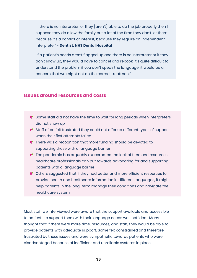'If there is no interpreter, or they  $\left[\arctan\theta\right]$  able to do the job properly then I suppose they do allow the family but a lot of the time they don't let them because it's a conflict of interest, because they require an independent interpreter' - **Dentist, NHS Dental Hospital**

'If a patient's needs aren't flagged up and there is no interpreter or if they don't show up, they would have to cancel and rebook, it's quite difficult to understand the problem if you don't speak the language, it would be a concern that we might not do the correct treatment'

#### **Issues around resources and costs**

- $\bullet$  Some staff did not have the time to wait for long periods when interpreters did not show up
- Staff often felt frustrated they could not offer up different types of support when their first attempts failed
- **P** There was a recognition that more funding should be devoted to supporting those with a language barrier
- $\bullet$  The pandemic has arguably exacerbated the lack of time and resources healthcare professionals can put towards advocating for and supporting patients with a language barrier
- Others suggested that if they had better and more efficient resources to provide health and healthcare information in different languages, it might help patients in the long-term manage their conditions and navigate the healthcare system

Most staff we interviewed were aware that the support available and accessible to patients to support them with their language needs was not ideal. Many thought that if there were more time, resources, and staff, they would be able to provide patients with adequate support. Some felt constrained and therefore frustrated by these issues and were sympathetic towards patients who were disadvantaged because of inefficient and unreliable systems in place.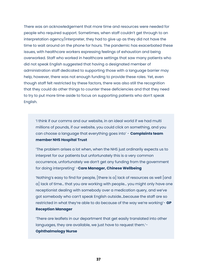There was an acknowledgement that more time and resources were needed for people who required support. Sometimes, when staff couldn't get through to an interpretation agency/interpreter, they had to give up as they did not have the time to wait around on the phone for hours. The pandemic has exacerbated these issues, with healthcare workers expressing feelings of exhaustion and being overworked. Staff who worked in healthcare settings that saw many patients who did not speak English suggested that having a designated member of administration staff dedicated to supporting those with a language barrier may help, however, there was not enough funding to provide these roles. Yet, even though staff felt restricted by these factors, there was also still the recognition that they could do other things to counter these deficiencies and that they need to try to put more time aside to focus on supporting patients who don't speak English.

'I think if our comms and our website, in an ideal world if we had multi millions of pounds, if our website, you could click on something, and you can choose a language that everything goes into' - **Complaints team member NHS Hospital Trust**

'The problem arises a lot when, when the NHS just ordinarily expects us to interpret for our patients but unfortunately this is a very common occurrence, unfortunately we don't get any funding from the government for doing interpreting' -**Care Manager, Chinese Wellbeing**

'Nothing's easy to find for people,  $[$ there is a $]$  lack of resources as well  $[$ and a] lack of time… that you are working with people… you might only have one receptionist dealing with somebody over a medication query, and we've got somebody who can't speak English outside…because the staff are so restricted in what they're able to do because of the way we're working'- **GP Reception Manager**

'There are leaflets in our department that get easily translated into other languages, they are available, we just have to request them.'- **Ophthalmology Nurse**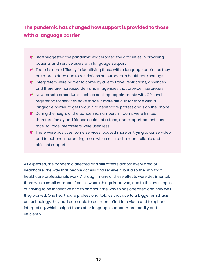### **The pandemic has changed how support is provided to those with a language barrier**

- Staff suggested the pandemic exacerbated the difficulties in providing patients and service users with language support
- **P** There is more difficulty in identifying those with a language barrier as they are more hidden due to restrictions on numbers in healthcare settings
- $\bullet$  Interpreters were harder to come by due to travel restrictions, absences and therefore increased demand in agencies that provide interpreters
- New remote procedures such as booking appointments with GPs and registering for services have made it more difficult for those with a language barrier to get through to healthcare professionals on the phone
- During the height of the pandemic, numbers in rooms were limited, therefore family and friends could not attend, and support patients and face-to-face interpreters were used less
- There were positives, some services focused more on trying to utilise video and telephone interpreting more which resulted in more reliable and efficient support

As expected, the pandemic affected and still affects almost every area of healthcare; the way that people access and receive it, but also the way that healthcare professionals work. Although many of these effects were detrimental, there was a small number of cases where things improved, due to the challenges of having to be innovative and think about the way things operated and how well they worked. One healthcare professional told us that due to a bigger emphasis on technology, they had been able to put more effort into video and telephone interpreting, which helped them offer language support more readily and efficiently.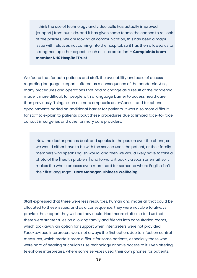'I think the use of technology and video calls has actually improved [support] from our side, and it has given some teams the chance to re-look at the policies…We are looking at communication, this has been a major issue with relatives not coming into the hospital, so it has then allowed us to strengthen up other aspects such as interpretation' - **Complaints team member NHS Hospital Trust**

We found that for both patients and staff, the availability and ease of access regarding language support suffered as a consequence of the pandemic. Also, many procedures and operations that had to change as a result of the pandemic made it more difficult for people with a language barrier to access healthcare than previously. Things such as more emphasis on e-Consult and telephone appointments added an additional barrier for patients. It was also more difficult for staff to explain to patients about these procedures due to limited face-to-face contact in surgeries and other primary care providers.

'Now the doctor phones back and speaks to the person over the phone, so we would either have to be with the service user, the patient, or their family members who speak English would, and then we would likely have to take a photo of the [health problem] and forward it back via zoom or email, so it makes the whole process even more hard for someone where English isn't their first language'- **Care Manager, Chinese Wellbeing**

Staff expressed that there were less resources, human and material, that could be allocated to these issues, and as a consequence, they were not able to always provide the support they wished they could. Healthcare staff also told us that there were stricter rules on allowing family and friends into consultation rooms, which took away an option for support when interpreters were not provided. Face-to-face interpreters were not always the first option, due to infection control measures, which made it more difficult for some patients, especially those who were hard of hearing or couldn't use technology or have access to it. Even offering telephone interpreters, where some services used their own phones for patients,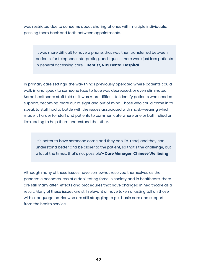was restricted due to concerns about sharing phones with multiple individuals, passing them back and forth between appointments.

'It was more difficult to have a phone, that was then transferred between patients, for telephone interpreting, and I guess there were just less patients in general accessing care'- **Dentist, NHS Dental Hospital** 

In primary care settings, the way things previously operated where patients could walk in and speak to someone face to face was decreased, or even eliminated. Some healthcare staff told us it was more difficult to identify patients who needed support, becoming more out of sight and out of mind. Those who could come in to speak to staff had to battle with the issues associated with mask-wearing which made it harder for staff and patients to communicate where one or both relied on lip-reading to help them understand the other.

'It's better to have someone come and they can lip-read, and they can understand better and be closer to the patient, so that's the challenge, but a lot of the times, that's not possible'**- Care Manager, Chinese Wellbeing**

Although many of these issues have somewhat resolved themselves as the pandemic becomes less of a debilitating force in society and in healthcare, there are still many after-effects and procedures that have changed in healthcare as a result. Many of these issues are still relevant or have taken a lasting toll on those with a language barrier who are still struggling to get basic care and support from the health service.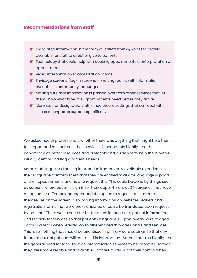#### **Recommendations from staff**

- Translated information in the form of leaflets/forms/websites readily available for staff to direct or give to patients
- **P** Technology that could help with booking appointments or interpretation at appointments
- **e** Video interpretation in consultation rooms
- Envisage screens /log-in screens in waiting rooms with information available in community languages
- Making sure that information is passed over from other services that let them know what type of support patients need before they arrive
- More staff or designated staff in healthcare settings that can deal with issues of language support specifically

We asked health professionals whether there was anything that might help them to support patients better in their services. Respondents highlighted the importance of better resources and protocols and guidance to help them better initially identify and flag a patient's needs.

Some staff suggested having information immediately available to patients in their language to inform them that they are entitled to ask for language support at their appointments and how to request this. This could be done by things such as screens where patients sign in for their appointment at GP surgeries that have an option for different languages, and the option to request an interpreter themselves on the screen. Also, having information on websites, leaflets and registration forms that were pre-translated or could be translated upon request by patients. There was a need for better or easier access to patient information and records for services so that patient's language support needs were flagged across systems when referred on to different health professionals and services. This is something that should be prioritised in primary care settings so that any future referral of patients will contain this information. Some staff also highlighted the general need for face-to-face interpretation services to be improved so that they were more reliable and available. Staff felt it was out of their control when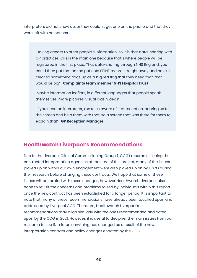<span id="page-41-0"></span>interpreters did not show up, or they couldn't get one on the phone and that they were left with no options.

'Having access to other people's information, so it is that data-sharing with GP practices. GPs is the main one because that's where people will be registered in the first place. That data-sharing through NHS England, you could then put that on the patients SPINE record straight away and have it clear so something flags up as a big red flag that they need that, that would be big'- **Complaints team member NHS Hospital Trust**

'Maybe information leaflets, in different languages that people speak themselves, more pictures, visual aids, videos'

'If you need an interpreter, make us aware of it at reception, or bring us to the screen and help them with that, so a screen that was there for them to explain that'- **GP Reception Manager**

#### **Healthwatch Liverpool's Recommendations**

Due to the Liverpool Clinical Commissioning Group (LCCG) recommissioning the contracted interpretation agencies at the time of this project, many of the issues picked up on within our own engagement were also picked up on by LCCG during their research before changing these contracts. We hope that some of these issues will be tackled with these changes, however Healthwatch Liverpool also hope to revisit the concerns and problems raised by individuals within this report once the new contract has been established for a longer period. It is important to note that many of these recommendations have already been touched upon and addressed by Liverpool CCG. Therefore, Healthwatch Liverpool's recommendations may align similarly with the ones recommended and acted upon by the CCG in 2021. However, it is useful to decipher the main issues from our research to see if, in future, anything has changed as a result of the new interpretation contract and policy changes enacted by the CCG.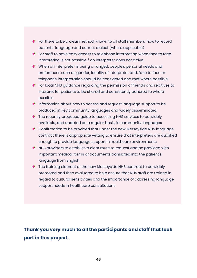- **P** For there to be a clear method, known to all staff members, how to record patients' language and correct dialect (where applicable)
- $\bullet$  For staff to have easy access to telephone interpreting when face to face interpreting is not possible / an interpreter does not arrive
- When an interpreter is being arranged, people's personal needs and preferences such as gender, locality of interpreter and, face to face or telephone interpretation should be considered and met where possible
- For local NHS guidance regarding the permission of friends and relatives to interpret for patients to be shared and consistently adhered to where possible
- **P** Information about how to access and request language support to be produced in key community languages and widely disseminated
- $\bullet$  The recently produced quide to accessing NHS services to be widely available, and updated on a regular basis, in community languages
- Confirmation to be provided that under the new Merseyside NHS language contract there is appropriate vetting to ensure that interpreters are qualified enough to provide language support in healthcare environments
- $\bullet$  NHS providers to establish a clear route to request and be provided with important medical forms or documents translated into the patient's language from English
- $\bullet$  The training element of the new Merseyside NHS contract to be widely promoted and then evaluated to help ensure that NHS staff are trained in regard to cultural sensitivities and the importance of addressing language support needs in healthcare consultations

### **Thank you very much to all the participants and staff that took part in this project.**